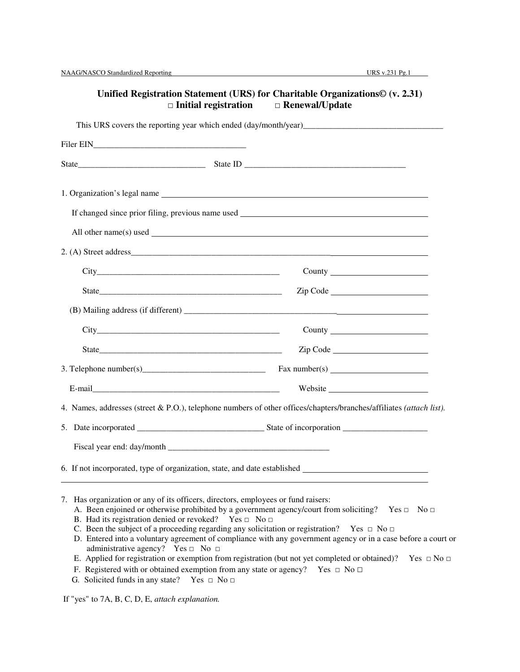## **Unified Registration Statement (URS) for Charitable Organizations© (v. 2.31) Initial registration**

|                                                                                                                                                                                                                                                                                                                                                                             | This URS covers the reporting year which ended (day/month/year)                                               |
|-----------------------------------------------------------------------------------------------------------------------------------------------------------------------------------------------------------------------------------------------------------------------------------------------------------------------------------------------------------------------------|---------------------------------------------------------------------------------------------------------------|
|                                                                                                                                                                                                                                                                                                                                                                             |                                                                                                               |
|                                                                                                                                                                                                                                                                                                                                                                             |                                                                                                               |
|                                                                                                                                                                                                                                                                                                                                                                             |                                                                                                               |
|                                                                                                                                                                                                                                                                                                                                                                             |                                                                                                               |
|                                                                                                                                                                                                                                                                                                                                                                             |                                                                                                               |
|                                                                                                                                                                                                                                                                                                                                                                             |                                                                                                               |
| $2. (A)$ Street address                                                                                                                                                                                                                                                                                                                                                     |                                                                                                               |
|                                                                                                                                                                                                                                                                                                                                                                             |                                                                                                               |
|                                                                                                                                                                                                                                                                                                                                                                             |                                                                                                               |
|                                                                                                                                                                                                                                                                                                                                                                             |                                                                                                               |
|                                                                                                                                                                                                                                                                                                                                                                             | County <u>counts</u>                                                                                          |
|                                                                                                                                                                                                                                                                                                                                                                             |                                                                                                               |
| 3. Telephone number(s) $\qquad \qquad$ Fax number(s)                                                                                                                                                                                                                                                                                                                        |                                                                                                               |
| E-mail 2008 and 2008 and 2008 and 2008 and 2008 and 2008 and 2008 and 2008 and 2008 and 2008 and 2008 and 2008                                                                                                                                                                                                                                                              |                                                                                                               |
| 4. Names, addresses (street & P.O.), telephone numbers of other offices/chapters/branches/affiliates (attach list).                                                                                                                                                                                                                                                         |                                                                                                               |
| 5. Date incorporated State of incorporation State of incorporation                                                                                                                                                                                                                                                                                                          |                                                                                                               |
|                                                                                                                                                                                                                                                                                                                                                                             |                                                                                                               |
|                                                                                                                                                                                                                                                                                                                                                                             |                                                                                                               |
| 7. Has organization or any of its officers, directors, employees or fund raisers:<br>A. Been enjoined or otherwise prohibited by a government agency/court from soliciting? Yes $\Box$ No $\Box$<br>B. Had its registration denied or revoked? Yes $\Box$ No $\Box$<br>C. Been the subject of a proceeding regarding any solicitation or registration? Yes $\Box$ No $\Box$ | D. Entered into a voluntary agreement of compliance with any government agency or in a case before a court or |

- administrative agency? Yes  $\Box$  No  $\Box$
- E. Applied for registration or exemption from registration (but not yet completed or obtained)? Yes  $\Box$  No  $\Box$
- F. Registered with or obtained exemption from any state or agency? Yes  $\Box$  No  $\Box$
- G. Solicited funds in any state? Yes  $\Box$  No  $\Box$

If "yes" to 7A, B, C, D, E, *attach explanation.*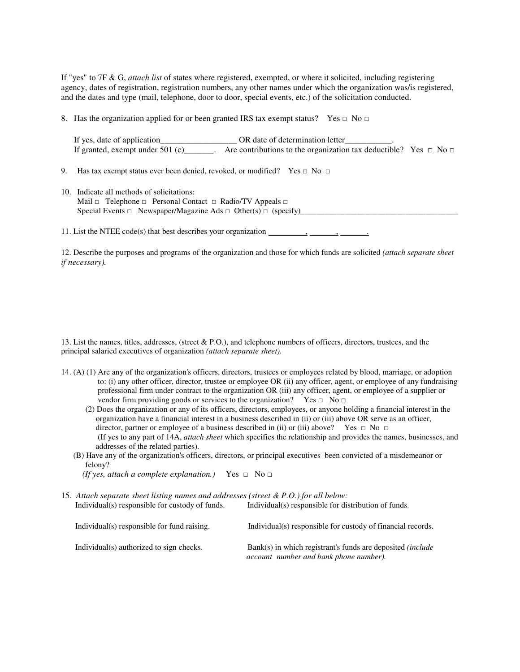If "yes" to 7F & G, *attach list* of states where registered, exempted, or where it solicited, including registering agency, dates of registration, registration numbers, any other names under which the organization was/is registered, and the dates and type (mail, telephone, door to door, special events, etc.) of the solicitation conducted.

8. Has the organization applied for or been granted IRS tax exempt status? Yes  $\Box$  No  $\Box$ 

If yes, date of application\_\_\_\_\_\_\_\_\_\_\_\_\_\_\_\_\_\_ OR date of determination letter\_\_\_\_\_\_\_\_\_\_\_. If granted, exempt under 501 (c)  $\overline{\phantom{a}}$ . Are contributions to the organization tax deductible? Yes  $\Box$  No  $\Box$ 

9. Has tax exempt status ever been denied, revoked, or modified? Yes  $\Box$  No  $\Box$ 

10. Indicate all methods of solicitations: Mail  $\Box$  Telephone  $\Box$  Personal Contact  $\Box$  Radio/TV Appeals  $\Box$ Special Events Newspaper/Magazine Ads Other(s) (specify)\_\_\_\_\_\_\_\_\_\_\_\_\_\_\_\_\_\_\_\_\_\_\_\_\_\_\_\_\_\_\_\_\_\_\_\_\_\_\_

11. List the NTEE code(s) that best describes your organization  $\frac{1}{1-\frac{1}{2-\frac{1}{2-\frac{1}{2-\frac{1}{2-\frac{1}{2-\frac{1}{2-\frac{1}{2-\frac{1}{2-\frac{1}{2-\frac{1}{2-\frac{1}{2-\frac{1}{2-\frac{1}{2-\frac{1}{2-\frac{1}{2-\frac{1}{2-\frac{1}{2-\frac{1}{2-\frac{1}{2-\frac{1}{2-\frac{1}{2-\frac{1}{2-\frac{1}{2-\frac{1}{2-\frac{1}{2$ 

12. Describe the purposes and programs of the organization and those for which funds are solicited *(attach separate sheet if necessary).*

13. List the names, titles, addresses, (street & P.O.), and telephone numbers of officers, directors, trustees, and the principal salaried executives of organization *(attach separate sheet).*

- 14. (A) (1) Are any of the organization's officers, directors, trustees or employees related by blood, marriage, or adoption to: (i) any other officer, director, trustee or employee OR (ii) any officer, agent, or employee of any fundraising professional firm under contract to the organization OR (iii) any officer, agent, or employee of a supplier or vendor firm providing goods or services to the organization? Yes  $\Box$  No  $\Box$ 
	- (2) Does the organization or any of its officers, directors, employees, or anyone holding a financial interest in the organization have a financial interest in a business described in (ii) or (iii) above OR serve as an officer, director, partner or employee of a business described in (ii) or (iii) above? Yes  $\Box$  No  $\Box$ (If yes to any part of 14A, *attach sheet* which specifies the relationship and provides the names, businesses, and addresses of the related parties).
	- (B) Have any of the organization's officers, directors, or principal executives been convicted of a misdemeanor or felony?

*(If yes, attach a complete explanation.)* Yes  $\Box$  No  $\Box$ 

| 15. Attach separate sheet listing names and addresses (street $\& P.O.$ ) for all below: |                                                                                                                       |  |  |  |
|------------------------------------------------------------------------------------------|-----------------------------------------------------------------------------------------------------------------------|--|--|--|
| Individual(s) responsible for custody of funds.                                          | Individual(s) responsible for distribution of funds.                                                                  |  |  |  |
| Individual(s) responsible for fund raising.                                              | Individual(s) responsible for custody of financial records.                                                           |  |  |  |
| Individual(s) authorized to sign checks.                                                 | Bank(s) in which registrant's funds are deposited <i>(include</i> )<br><i>account number and bank phone number</i> ). |  |  |  |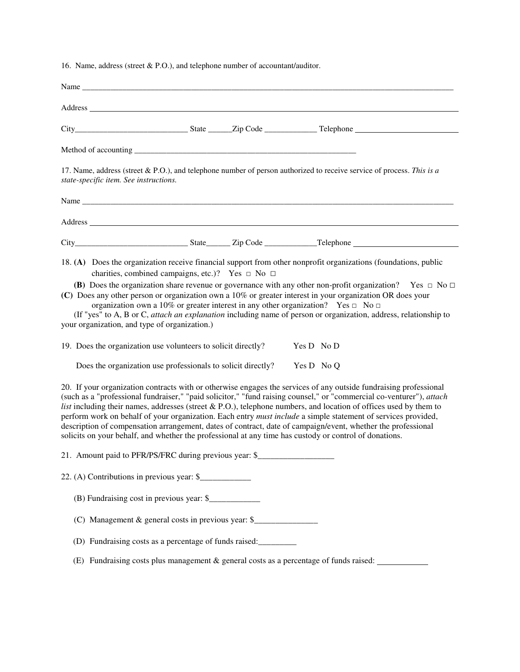16. Name, address (street & P.O.), and telephone number of accountant/auditor.

| state-specific item. See instructions.                                                                                                                                                                                                                                                                                                                                                                                                                                                                                                                                                                                                                                                                                                                                                                                                                                                                                                                                                                                                                                                                                                                                                                                                                                                                                                                                                                                                                                                                                                                               |  |  | 17. Name, address (street & P.O.), and telephone number of person authorized to receive service of process. This is a |  |  |  |
|----------------------------------------------------------------------------------------------------------------------------------------------------------------------------------------------------------------------------------------------------------------------------------------------------------------------------------------------------------------------------------------------------------------------------------------------------------------------------------------------------------------------------------------------------------------------------------------------------------------------------------------------------------------------------------------------------------------------------------------------------------------------------------------------------------------------------------------------------------------------------------------------------------------------------------------------------------------------------------------------------------------------------------------------------------------------------------------------------------------------------------------------------------------------------------------------------------------------------------------------------------------------------------------------------------------------------------------------------------------------------------------------------------------------------------------------------------------------------------------------------------------------------------------------------------------------|--|--|-----------------------------------------------------------------------------------------------------------------------|--|--|--|
|                                                                                                                                                                                                                                                                                                                                                                                                                                                                                                                                                                                                                                                                                                                                                                                                                                                                                                                                                                                                                                                                                                                                                                                                                                                                                                                                                                                                                                                                                                                                                                      |  |  |                                                                                                                       |  |  |  |
|                                                                                                                                                                                                                                                                                                                                                                                                                                                                                                                                                                                                                                                                                                                                                                                                                                                                                                                                                                                                                                                                                                                                                                                                                                                                                                                                                                                                                                                                                                                                                                      |  |  |                                                                                                                       |  |  |  |
|                                                                                                                                                                                                                                                                                                                                                                                                                                                                                                                                                                                                                                                                                                                                                                                                                                                                                                                                                                                                                                                                                                                                                                                                                                                                                                                                                                                                                                                                                                                                                                      |  |  |                                                                                                                       |  |  |  |
| 18. (A) Does the organization receive financial support from other nonprofit organizations (foundations, public<br>charities, combined campaigns, etc.)? Yes $\Box$ No $\Box$<br>(B) Does the organization share revenue or governance with any other non-profit organization? Yes $\Box$ No $\Box$<br>(C) Does any other person or organization own a 10% or greater interest in your organization OR does your<br>organization own a 10% or greater interest in any other organization? Yes $\Box$ No $\Box$<br>(If "yes" to A, B or C, attach an explanation including name of person or organization, address, relationship to<br>your organization, and type of organization.)<br>19. Does the organization use volunteers to solicit directly?<br>Yes D No D<br>Does the organization use professionals to solicit directly?<br>Yes D No Q<br>20. If your organization contracts with or otherwise engages the services of any outside fundraising professional<br>(such as a "professional fundraiser," "paid solicitor," "fund raising counsel," or "commercial co-venturer"), attach<br>list including their names, addresses (street & P.O.), telephone numbers, and location of offices used by them to<br>perform work on behalf of your organization. Each entry <i>must include</i> a simple statement of services provided,<br>description of compensation arrangement, dates of contract, date of campaign/event, whether the professional<br>solicits on your behalf, and whether the professional at any time has custody or control of donations. |  |  |                                                                                                                       |  |  |  |
| 21. Amount paid to PFR/PS/FRC during previous year: \$<br>22. (A) Contributions in previous year: \$                                                                                                                                                                                                                                                                                                                                                                                                                                                                                                                                                                                                                                                                                                                                                                                                                                                                                                                                                                                                                                                                                                                                                                                                                                                                                                                                                                                                                                                                 |  |  |                                                                                                                       |  |  |  |
| (B) Fundraising cost in previous year: \$<br>(C) Management & general costs in previous year: \$<br>(D) Fundraising costs as a percentage of funds raised:                                                                                                                                                                                                                                                                                                                                                                                                                                                                                                                                                                                                                                                                                                                                                                                                                                                                                                                                                                                                                                                                                                                                                                                                                                                                                                                                                                                                           |  |  |                                                                                                                       |  |  |  |
|                                                                                                                                                                                                                                                                                                                                                                                                                                                                                                                                                                                                                                                                                                                                                                                                                                                                                                                                                                                                                                                                                                                                                                                                                                                                                                                                                                                                                                                                                                                                                                      |  |  | (E) Fundraising costs plus management $\&$ general costs as a percentage of funds raised:                             |  |  |  |